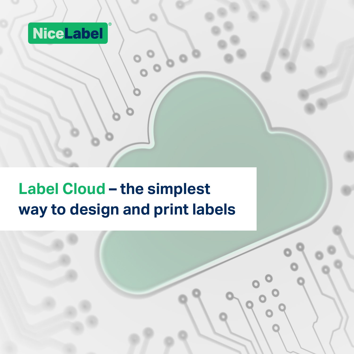## NiceLabel

**Label Cloud – the simplest way to design and print labels**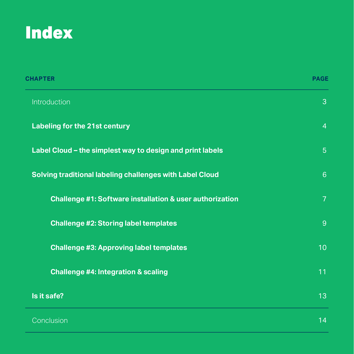## **Index**

| <b>CHAPTER</b>                                                      | <b>PAGE</b>     |
|---------------------------------------------------------------------|-----------------|
| Introduction                                                        | $\mathbf{3}$    |
| <b>Labeling for the 21st century</b>                                | $\overline{4}$  |
| Label Cloud - the simplest way to design and print labels           | 5 <sup>5</sup>  |
| Solving traditional labeling challenges with Label Cloud            | 6 <sup>°</sup>  |
| <b>Challenge #1: Software installation &amp; user authorization</b> | $\overline{7}$  |
| <b>Challenge #2: Storing label templates</b>                        | 9               |
| <b>Challenge #3: Approving label templates</b>                      | 10 <sub>1</sub> |
| <b>Challenge #4: Integration &amp; scaling</b>                      | 11              |
| Is it safe?                                                         | 13              |
| Conclusion                                                          | 14              |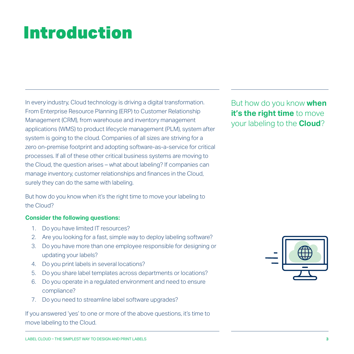# Introduction

In every industry, Cloud technology is driving a digital transformation. From Enterprise Resource Planning (ERP) to Customer Relationship Management (CRM), from warehouse and inventory management applications (WMS) to product lifecycle management (PLM), system after system is going to the cloud. Companies of all sizes are striving for a zero on-premise footprint and adopting software-as-a-service for critical processes. If all of these other critical business systems are moving to the Cloud, the question arises – what about labeling? If companies can manage inventory, customer relationships and finances in the Cloud, surely they can do the same with labeling.

But how do you know when it's the right time to move your labeling to the Cloud?

### **Consider the following questions:**

- 1. Do you have limited IT resources?
- 2. Are you looking for a fast, simple way to deploy labeling software?
- 3. Do you have more than one employee responsible for designing or updating your labels?
- 4. Do you print labels in several locations?
- 5. Do you share label templates across departments or locations?
- 6. Do you operate in a regulated environment and need to ensure compliance?
- 7. Do you need to streamline label software upgrades?

If you answered 'yes' to one or more of the above questions, it's time to move labeling to the Cloud.

But how do you know **when it's the right time** to move your labeling to the **Cloud**?

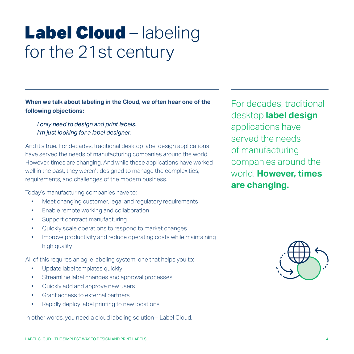# Label Cloud – labeling for the 21st century

**When we talk about labeling in the Cloud, we often hear one of the following objections:**

*I only need to design and print labels. I'm just looking for a label designer.*

And it's true. For decades, traditional desktop label design applications have served the needs of manufacturing companies around the world. However, times are changing. And while these applications have worked well in the past, they weren't designed to manage the complexities, requirements, and challenges of the modern business.

Today's manufacturing companies have to:

- Meet changing customer, legal and regulatory requirements
- • Enable remote working and collaboration
- Support contract manufacturing
- Quickly scale operations to respond to market changes
- Improve productivity and reduce operating costs while maintaining high quality

All of this requires an agile labeling system; one that helps you to:

- • Update label templates quickly
- Streamline label changes and approval processes
- • Quickly add and approve new users
- Grant access to external partners
- Rapidly deploy label printing to new locations

In other words, you need a cloud labeling solution – Label Cloud.

For decades, traditional desktop **label design** applications have served the needs of manufacturing companies around the world. **However, times are changing.**

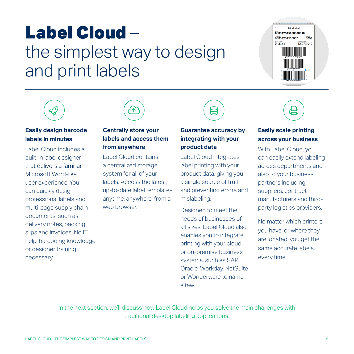# Label Cloud – the simplest way to design and print labels





### **Easily design barcode labels in minutes**

Label Cloud includes a built-in label designer that delivers a familiar Microsoft Word-like user experience. You can quickly design professional labels and multi-page supply chain documents, such as delivery notes, packing slips and invoices. No IT help, barcoding knowledge or designer training necessary.



### **Centrally store your labels and access them from anywhere**

Label Cloud contains a centralized storage system for all of your labels. Access the latest, up-to-date label templates anytime, anywhere, from a web browser.



Label Cloud integrates label printing with your product data, giving you a single source of truth and preventing errors and mislabeling.

Designed to meet the needs of businesses of all sizes, Label Cloud also enables you to integrate printing with your cloud or on-premise business systems, such as SAP, Oracle, Workday, NetSuite or Wonderware to name a few.



### **Easily scale printing across your business**

With Label Cloud, you can easily extend labeling across departments and also to your business partners including suppliers, contract manufacturers and thirdparty logistics providers.

No matter which printers you have, or where they are located, you get the same accurate labels, every time.

In the next section, we'll discuss how Label Cloud helps you solve the main challenges with traditional desktop labeling applications.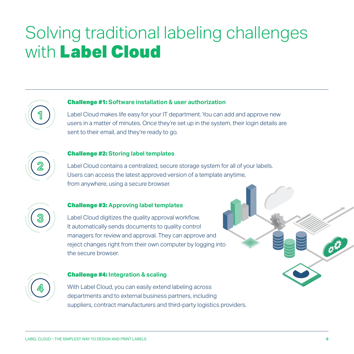# Solving traditional labeling challenges with Label Cloud

### Challenge #1: **Software installation & user authorization**

Label Cloud makes life easy for your IT department. You can add and approve new users in a matter of minutes. Once they're set up in the system, their login details are sent to their email, and they're ready to go.



**1**

#### Challenge #2: **Storing label templates**

Label Cloud contains a centralized, secure storage system for all of your labels. Users can access the latest approved version of a template anytime, from anywhere, using a secure browser.



#### Challenge #3: **Approving label templates**

Label Cloud digitizes the quality approval workflow. It automatically sends documents to quality control managers for review and approval. They can approve and reject changes right from their own computer by logging into the secure browser.



#### Challenge #4: **Integration & scaling**

With Label Cloud, you can easily extend labeling across departments and to external business partners, including suppliers, contract manufacturers and third-party logistics providers.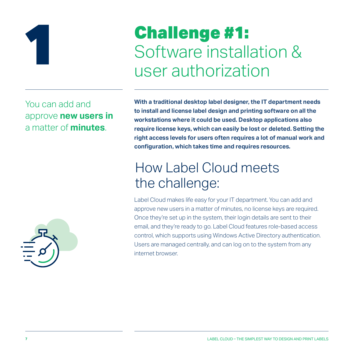

# Challenge #1: Software installation &<br>user authorization

You can add and approve **new users in**  a matter of **minutes**.



**With a traditional desktop label designer, the IT department needs to install and license label design and printing software on all the workstations where it could be used. Desktop applications also require license keys, which can easily be lost or deleted. Setting the right access levels for users often requires a lot of manual work and configuration, which takes time and requires resources.** 

## How Label Cloud meets the challenge:

Label Cloud makes life easy for your IT department. You can add and approve new users in a matter of minutes, no license keys are required. Once they're set up in the system, their login details are sent to their email, and they're ready to go. Label Cloud features role-based access control, which supports using Windows Active Directory authentication. Users are managed centrally, and can log on to the system from any internet browser.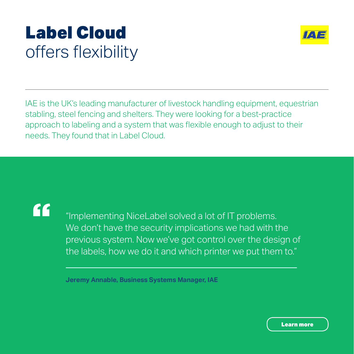# Label Cloud offers flexibility



IAE is the UK's leading manufacturer of livestock handling equipment, equestrian stabling, steel fencing and shelters. They were looking for a best-practice approach to labeling and a system that was flexible enough to adjust to their needs. They found that in Label Cloud.

"

"Implementing NiceLabel solved a lot of IT problems. We don't have the security implications we had with the previous system. Now we've got control over the design of the labels, how we do it and which printer we put them to."

**Jeremy Annable, Business Systems Manager, IAE**

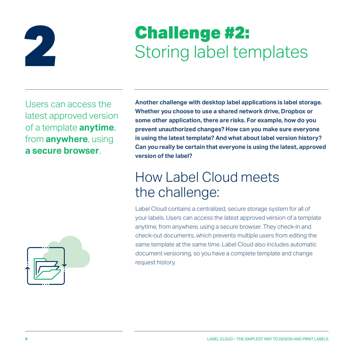

# **Challenge #2:**<br>Storing label templates

Users can access the latest approved version of a template **anytime**, from **anywhere**, using **a secure browser**.



**Another challenge with desktop label applications is label storage. Whether you choose to use a shared network drive, Dropbox or some other application, there are risks. For example, how do you prevent unauthorized changes? How can you make sure everyone is using the latest template? And what about label version history? Can you really be certain that everyone is using the latest, approved version of the label?** 

### How Label Cloud meets the challenge:

Label Cloud contains a centralized, secure storage system for all of your labels. Users can access the latest approved version of a template anytime, from anywhere, using a secure browser. They check-in and check-out documents, which prevents multiple users from editing the same template at the same time. Label Cloud also includes automatic document versioning, so you have a complete template and change request history.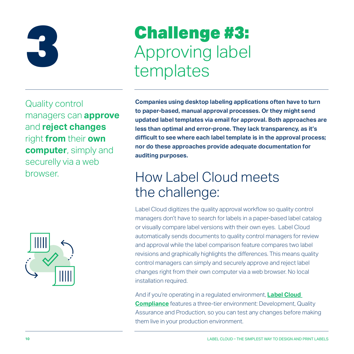

# Challenge #3: Approving label<br>templates

Quality control managers can **approve** and **reject changes** right **from** their **own computer**, simply and securelly via a web browser.



**Companies using desktop labeling applications often have to turn to paper-based, manual approval processes. Or they might send updated label templates via email for approval. Both approaches are less than optimal and error-prone. They lack transparency, as it's difficult to see where each label template is in the approval process; nor do these approaches provide adequate documentation for auditing purposes.** 

### How Label Cloud meets the challenge:

Label Cloud digitizes the quality approval workflow so quality control managers don't have to search for labels in a paper-based label catalog or visually compare label versions with their own eyes. Label Cloud automatically sends documents to quality control managers for review and approval while the label comparison feature compares two label revisions and graphically highlights the differences. This means quality control managers can simply and securely approve and reject label changes right from their own computer via a web browser. No local installation required.

And if you're operating in a regulated environment, **[Label Cloud](https://www.nicelabel.com/label-cloud-compliance)  [Compliance](https://www.nicelabel.com/label-cloud-compliance)** features a three-tier environment: Development, Quality Assurance and Production, so you can test any changes before making them live in your production environment.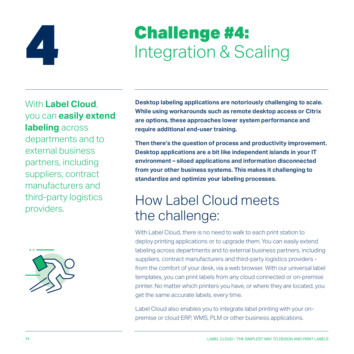

# **Challenge #4:** Integration & Scaling

With **Label Cloud**, you can **easily extend labeling** across departments and to external business partners, including suppliers, contract manufacturers and third-party logistics providers.



**Desktop labeling applications are notoriously challenging to scale. While using workarounds such as remote desktop access or Citrix are options, these approaches lower system performance and require additional end-user training.**

**Then there's the question of process and productivity improvement. Desktop applications are a bit like independent islands in your IT environment – siloed applications and information disconnected from your other business systems. This makes it challenging to standardize and optimize your labeling processes.** 

### How Label Cloud meets the challenge:

With Label Cloud, there is no need to walk to each print station to deploy printing applications or to upgrade them. You can easily extend labeling across departments and to external business partners, including suppliers, contract manufacturers and third-party logistics providers from the comfort of your desk, via a web browser. With our universal label templates, you can print labels from any cloud connected or on-premise printer. No matter which printers you have, or where they are located, you get the same accurate labels, every time.

Label Cloud also enables you to integrate label printing with your onpremise or cloud ERP, WMS, PLM or other business applications.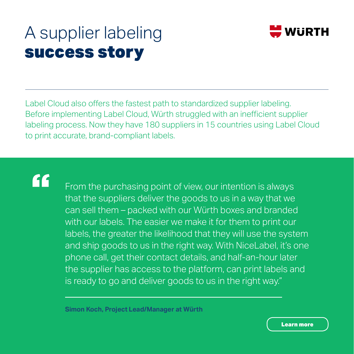# A supplier labeling success story



Label Cloud also offers the fastest path to standardized supplier labeling. Before implementing Label Cloud, Würth struggled with an inefficient supplier labeling process. Now they have 180 suppliers in 15 countries using Label Cloud to print accurate, brand-compliant labels.

# "

From the purchasing point of view, our intention is always that the suppliers deliver the goods to us in a way that we can sell them – packed with our Würth boxes and branded with our labels. The easier we make it for them to print our labels, the greater the likelihood that they will use the system and ship goods to us in the right way. With NiceLabel, it's one phone call, get their contact details, and half-an-hour later the supplier has access to the platform, can print labels and is ready to go and deliver goods to us in the right way."

**Simon Koch, Project Lead/Manager at Würth**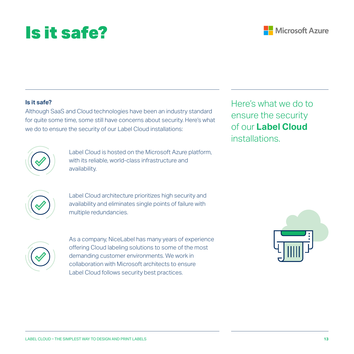# Is it safe?

Although SaaS and Cloud technologies have been an industry standard for quite some time, some still have concerns about security. Here's what we do to ensure the security of our Label Cloud installations:

> Label Cloud is hosted on the Microsoft Azure platform, with its reliable, world-class infrastructure and availability.

Label Cloud architecture prioritizes high security and availability and eliminates single points of failure with multiple redundancies.

As a company, NiceLabel has many years of experience offering Cloud labeling solutions to some of the most demanding customer environments. We work in collaboration with Microsoft architects to ensure Label Cloud follows security best practices.

Here's what we do to ensure the security of our **Label Cloud**  installations.